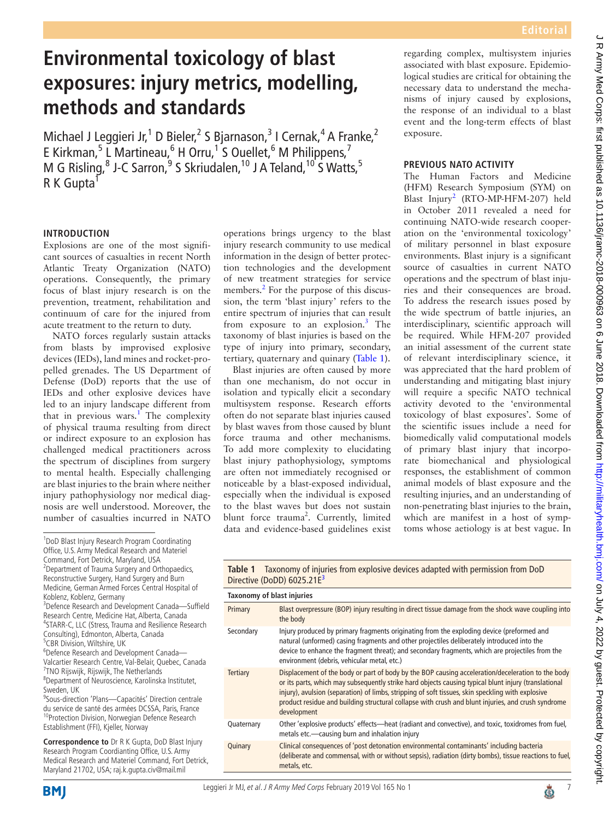# **Environmental toxicology of blast exposures: injury metrics, modelling, methods and standards**

Michael J Leggieri Jr,<sup>1</sup> D Bieler,<sup>2</sup> S Bjarnason,<sup>3</sup> I Cernak,<sup>4</sup> A Franke,<sup>2</sup> E Kirkman,<sup>5</sup> L Martineau,<sup>6</sup> H Orru,<sup>1</sup> S Ouellet,<sup>6</sup> M Philippens,<sup>7</sup> M G Risling, <sup>8</sup> J-C Sarron, <sup>9</sup> S Skriudalen, <sup>10</sup> J A Teland, <sup>10</sup> S Watts, <sup>5</sup>  $R K$  Gupta<sup>1</sup>

## **Introduction**

Explosions are one of the most significant sources of casualties in recent North Atlantic Treaty Organization (NATO) operations. Consequently, the primary focus of blast injury research is on the prevention, treatment, rehabilitation and continuum of care for the injured from acute treatment to the return to duty.

NATO forces regularly sustain attacks from blasts by improvised explosive devices (IEDs), land mines and rocket-propelled grenades. The US Department of Defense (DoD) reports that the use of IEDs and other explosive devices have led to an injury landscape different from that in previous wars.<sup>[1](#page-2-0)</sup> The complexity of physical trauma resulting from direct or indirect exposure to an explosion has challenged medical practitioners across the spectrum of disciplines from surgery to mental health. Especially challenging are blast injuries to the brain where neither injury pathophysiology nor medical diagnosis are well understood. Moreover, the number of casualties incurred in NATO

<sup>3</sup>Defence Research and Development Canada-Suffield Research Centre, Medicine Hat, Alberta, Canada 4 STARR-C, LLC (Stress, Trauma and Resilience Research Consulting), Edmonton, Alberta, Canada

 CBR Division, Wiltshire, UK Defence Research and Development Canada— Valcartier Research Centre, Val-Belair, Quebec, Canada TNO Rijswijk, Rijswijk, The Netherlands

8 Department of Neuroscience, Karolinska Institutet, Sweden, UK

<sup>9</sup>Sous-direction 'Plans-Capacités' Direction centrale du service de santé des armées DCSSA, Paris, France <sup>10</sup>Protection Division, Norwegian Defence Research Establishment (FFI), Kjeller, Norway

**Correspondence to** Dr R K Gupta, DoD Blast Injury Research Program Coordianting Office, U.S. Army Medical Research and Materiel Command, Fort Detrick, Maryland 21702, USA; raj.k.gupta.civ@mail.mil

operations brings urgency to the blast injury research community to use medical information in the design of better protection technologies and the development of new treatment strategies for service members.<sup>[2](#page-2-1)</sup> For the purpose of this discussion, the term 'blast injury' refers to the entire spectrum of injuries that can result from exposure to an explosion.<sup>[3](#page-2-2)</sup> The taxonomy of blast injuries is based on the type of injury into primary, secondary, tertiary, quaternary and quinary ([Table](#page-0-0) 1).

Blast injuries are often caused by more than one mechanism, do not occur in isolation and typically elicit a secondary multisystem response. Research efforts often do not separate blast injuries caused by blast waves from those caused by blunt force trauma and other mechanisms. To add more complexity to elucidating blast injury pathophysiology, symptoms are often not immediately recognised or noticeable by a blast-exposed individual, especially when the individual is exposed to the blast waves but does not sustain blunt force trauma<sup>2</sup>. Currently, limited data and evidence-based guidelines exist

regarding complex, multisystem injuries associated with blast exposure. Epidemiological studies are critical for obtaining the necessary data to understand the mechanisms of injury caused by explosions, the response of an individual to a blast event and the long-term effects of blast exposure.

#### **Previous NATO activity**

The Human Factors and Medicine (HFM) Research Symposium (SYM) on Blast Injury<sup>[2](#page-2-1)</sup> (RTO-MP-HFM-207) held in October 2011 revealed a need for continuing NATO-wide research cooperation on the 'environmental toxicology' of military personnel in blast exposure environments. Blast injury is a significant source of casualties in current NATO operations and the spectrum of blast injuries and their consequences are broad. To address the research issues posed by the wide spectrum of battle injuries, an interdisciplinary, scientific approach will be required. While HFM-207 provided an initial assessment of the current state of relevant interdisciplinary science, it was appreciated that the hard problem of understanding and mitigating blast injury will require a specific NATO technical activity devoted to the 'environmental toxicology of blast exposures'. Some of the scientific issues include a need for biomedically valid computational models of primary blast injury that incorporate biomechanical and physiological responses, the establishment of common animal models of blast exposure and the resulting injuries, and an understanding of non-penetrating blast injuries to the brain, which are manifest in a host of symptoms whose aetiology is at best vague. In

| <b>NAME I</b> RAVINGING OF INJURIES HOTEL CAPIOSITYC UCTRESS UNUPLED THEIR POINTSSION HOTEL DOD<br>Directive (DoDD) 6025.21E <sup>3</sup> |                                                                                                                                                                                                                                                                                                                                                                                                                                     |
|-------------------------------------------------------------------------------------------------------------------------------------------|-------------------------------------------------------------------------------------------------------------------------------------------------------------------------------------------------------------------------------------------------------------------------------------------------------------------------------------------------------------------------------------------------------------------------------------|
| Taxonomy of blast injuries                                                                                                                |                                                                                                                                                                                                                                                                                                                                                                                                                                     |
| Primary                                                                                                                                   | Blast overpressure (BOP) injury resulting in direct tissue damage from the shock wave coupling into<br>the body                                                                                                                                                                                                                                                                                                                     |
| Secondary                                                                                                                                 | Injury produced by primary fragments originating from the exploding device (preformed and<br>natural (unformed) casing fragments and other projectiles deliberately introduced into the<br>device to enhance the fragment threat); and secondary fragments, which are projectiles from the<br>environment (debris, vehicular metal, etc.)                                                                                           |
| <b>Tertiary</b>                                                                                                                           | Displacement of the body or part of body by the BOP causing acceleration/deceleration to the body<br>or its parts, which may subsequently strike hard objects causing typical blunt injury (translational<br>injury), avulsion (separation) of limbs, stripping of soft tissues, skin speckling with explosive<br>product residue and building structural collapse with crush and blunt injuries, and crush syndrome<br>development |
| Quaternary                                                                                                                                | Other 'explosive products' effects—heat (radiant and convective), and toxic, toxidromes from fuel,<br>metals etc.—causing burn and inhalation injury                                                                                                                                                                                                                                                                                |
| Quinary                                                                                                                                   | Clinical consequences of 'post detonation environmental contaminants' including bacteria<br>(deliberate and commensal, with or without sepsis), radiation (dirty bombs), tissue reactions to fuel,<br>metals, etc.                                                                                                                                                                                                                  |

<span id="page-0-0"></span>**Table 1** Taxonomy of injuries from explosive devices adapted with permission from DoD





<sup>1</sup> DoD Blast Injury Research Program Coordinating Office, U.S. Army Medical Research and Materiel Command, Fort Detrick, Maryland, USA 2 Department of Trauma Surgery and Orthopaedics, Reconstructive Surgery, Hand Surgery and Burn Medicine, German Armed Forces Central Hospital of Koblenz, Koblenz, Germany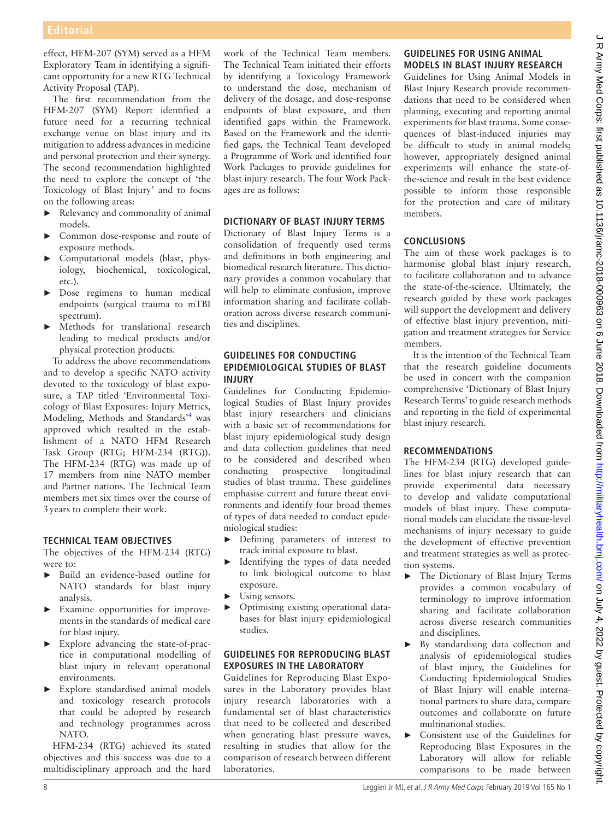effect, HFM-207 (SYM) served as a HFM Exploratory Team in identifying a significant opportunity for a new RTG Technical Activity Proposal (TAP).

The first recommendation from the HFM-207 (SYM) Report identified a future need for a recurring technical exchange venue on blast injury and its mitigation to address advances in medicine and personal protection and their synergy. The second recommendation highlighted the need to explore the concept of 'the Toxicology of Blast Injury' and to focus on the following areas:

- ► Relevancy and commonality of animal models.
- ► Common dose-response and route of exposure methods.
- ► Computational models (blast, physiology, biochemical, toxicological, etc.).
- ► Dose regimens to human medical endpoints (surgical trauma to mTBI spectrum).
- ► Methods for translational research leading to medical products and/or physical protection products.

To address the above recommendations and to develop a specific NATO activity devoted to the toxicology of blast exposure, a TAP titled 'Environmental Toxicology of Blast Exposures: Injury Metrics, Modeling, Methods and Standards<sup>,[4](#page-2-3)</sup> was approved which resulted in the establishment of a NATO HFM Research Task Group (RTG; HFM-234 (RTG)). The HFM-234 (RTG) was made up of 17 members from nine NATO member and Partner nations. The Technical Team members met six times over the course of 3years to complete their work.

## **Technical team objectives**

The objectives of the HFM-234 (RTG) were to:

- ► Build an evidence-based outline for NATO standards for blast injury analysis.
- ► Examine opportunities for improvements in the standards of medical care for blast injury.
- ► Explore advancing the state-of-practice in computational modelling of blast injury in relevant operational environments.
- ► Explore standardised animal models and toxicology research protocols that could be adopted by research and technology programmes across NATO.

HFM-234 (RTG) achieved its stated objectives and this success was due to a multidisciplinary approach and the hard work of the Technical Team members. The Technical Team initiated their efforts by identifying a Toxicology Framework to understand the dose, mechanism of delivery of the dosage, and dose-response endpoints of blast exposure, and then identified gaps within the Framework. Based on the Framework and the identified gaps, the Technical Team developed a Programme of Work and identified four Work Packages to provide guidelines for blast injury research. The four Work Packages are as follows:

#### **Dictionary of Blast Injury Terms**

Dictionary of Blast Injury Terms is a consolidation of frequently used terms and definitions in both engineering and biomedical research literature. This dictionary provides a common vocabulary that will help to eliminate confusion, improve information sharing and facilitate collaboration across diverse research communities and disciplines.

#### **Guidelines for Conducting Epidemiological Studies of Blast Injury**

Guidelines for Conducting Epidemiological Studies of Blast Injury provides blast injury researchers and clinicians with a basic set of recommendations for blast injury epidemiological study design and data collection guidelines that need to be considered and described when conducting prospective longitudinal studies of blast trauma. These guidelines emphasise current and future threat environments and identify four broad themes of types of data needed to conduct epidemiological studies:

- ► Defining parameters of interest to track initial exposure to blast.
- ► Identifying the types of data needed to link biological outcome to blast exposure.
- Using sensors.
- ► Optimising existing operational databases for blast injury epidemiological studies.

# **Guidelines for Reproducing Blast Exposures in the Laboratory**

Guidelines for Reproducing Blast Exposures in the Laboratory provides blast injury research laboratories with a fundamental set of blast characteristics that need to be collected and described when generating blast pressure waves, resulting in studies that allow for the comparison of research between different laboratories.

# **Guidelines for Using Animal Models in Blast Injury Research**

Guidelines for Using Animal Models in Blast Injury Research provide recommendations that need to be considered when planning, executing and reporting animal experiments for blast trauma. Some consequences of blast-induced injuries may be difficult to study in animal models; however, appropriately designed animal experiments will enhance the state-ofthe-science and result in the best evidence possible to inform those responsible for the protection and care of military members.

# **Conclusions**

The aim of these work packages is to harmonise global blast injury research, to facilitate collaboration and to advance the state-of-the-science. Ultimately, the research guided by these work packages will support the development and delivery of effective blast injury prevention, mitigation and treatment strategies for Service members.

It is the intention of the Technical Team that the research guideline documents be used in concert with the companion comprehensive 'Dictionary of Blast Injury Research Terms' to guide research methods and reporting in the field of experimental blast injury research.

# **Recommendations**

The HFM-234 (RTG) developed guidelines for blast injury research that can provide experimental data necessary to develop and validate computational models of blast injury. These computational models can elucidate the tissue-level mechanisms of injury necessary to guide the development of effective prevention and treatment strategies as well as protection systems.

- ► The Dictionary of Blast Injury Terms provides a common vocabulary of terminology to improve information sharing and facilitate collaboration across diverse research communities and disciplines.
- ► By standardising data collection and analysis of epidemiological studies of blast injury, the Guidelines for Conducting Epidemiological Studies of Blast Injury will enable international partners to share data, compare outcomes and collaborate on future multinational studies.
- ► Consistent use of the Guidelines for Reproducing Blast Exposures in the Laboratory will allow for reliable comparisons to be made between